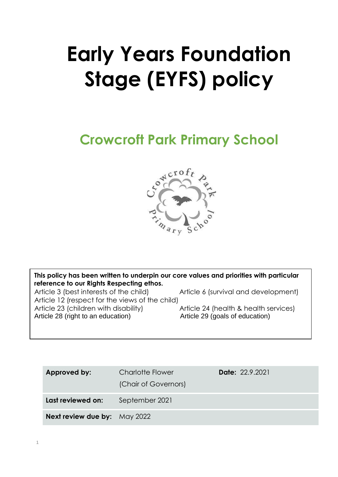# **Early Years Foundation Stage (EYFS) policy**

# **Crowcroft Park Primary School**



**This policy has been written to underpin our core values and priorities with particular reference to our Rights Respecting ethos.**  Article 3 (best interests of the child) **This policy has been written to underpin our core values and priorities with particular**  Article 6 (survival and development)

 $\frac{A}{A}$  (article 3 (best interests) of the child)  $\frac{A}{A}$ Article 12 (respect for the views of the child) Article 23 (children with disability) Article 24 (health & health service 28 (right to an education) Article 29 (goals of education) Article 28 (right to an education) Marticle 29 (goals of education) Article 24 (health & health services)

| Charlotte Flower<br>(Chair of Governors) | <b>Date: 22.9.2021</b> |
|------------------------------------------|------------------------|
| September 2021                           |                        |
| <b>Next review due by:</b> May 2022      |                        |
|                                          |                        |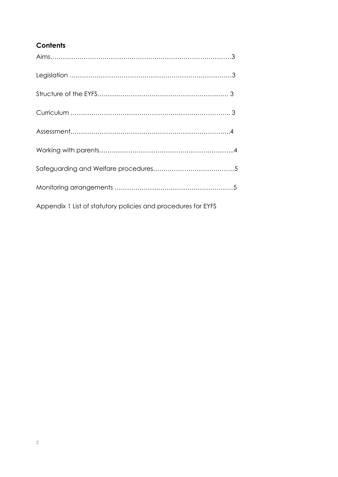# **Contents**

| Appendix 1 List of statutory policies and procedures for EYFS |  |
|---------------------------------------------------------------|--|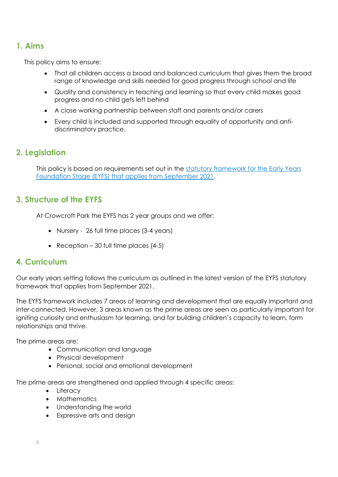# **1. Aims**

This policy aims to ensure:

- That all children access a broad and balanced curriculum that gives them the broad range of knowledge and skills needed for good progress through school and life
- Quality and consistency in teaching and learning so that every child makes good progress and no child gets left behind
- A close working partnership between staff and parents and/or carers
- Every child is included and supported through equality of opportunity and antidiscriminatory practice.

# **2. Legislation**

This policy is based on requirements set out in the [statutory framework for the Early Years](https://www.gov.uk/government/publications/early-years-foundation-stage-framework--2/)  [Foundation Stage \(EYFS\) that applies from September 2021.](https://www.gov.uk/government/publications/early-years-foundation-stage-framework--2/)

# **3. Structure of the EYFS**

At Crowcroft Park the EYFS has 2 year groups and we offer:

- Nursery 26 full time places (3-4 years)
- Reception 30 full time places  $(4-5)$

# **4. Curriculum**

Our early years setting follows the curriculum as outlined in the latest version of the EYFS statutory framework that applies from September 2021.

The EYFS framework includes 7 areas of learning and development that are equally important and inter-connected. However, 3 areas known as the prime areas are seen as particularly important for igniting curiosity and enthusiasm for learning, and for building children's capacity to learn, form relationships and thrive.

The prime areas are:

- Communication and language
- Physical development
- Personal, social and emotional development

The prime areas are strengthened and applied through 4 specific areas:

- Literacy
- Mathematics
- Understanding the world
- Expressive arts and design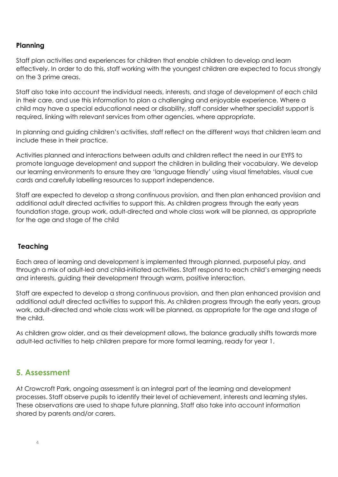### **Planning**

Staff plan activities and experiences for children that enable children to develop and learn effectively. In order to do this, staff working with the youngest children are expected to focus strongly on the 3 prime areas.

Staff also take into account the individual needs, interests, and stage of development of each child in their care, and use this information to plan a challenging and enjoyable experience. Where a child may have a special educational need or disability, staff consider whether specialist support is required, linking with relevant services from other agencies, where appropriate.

In planning and guiding children's activities, staff reflect on the different ways that children learn and include these in their practice.

Activities planned and interactions between adults and children reflect the need in our EYFS to promote language development and support the children in building their vocabulary. We develop our learning environments to ensure they are 'language friendly' using visual timetables, visual cue cards and carefully labelling resources to support independence.

Staff are expected to develop a strong continuous provision, and then plan enhanced provision and additional adult directed activities to support this. As children progress through the early years foundation stage, group work, adult-directed and whole class work will be planned, as appropriate for the age and stage of the child

#### **Teaching**

Each area of learning and development is implemented through planned, purposeful play, and through a mix of adult-led and child-initiated activities. Staff respond to each child's emerging needs and interests, guiding their development through warm, positive interaction.

Staff are expected to develop a strong continuous provision, and then plan enhanced provision and additional adult directed activities to support this. As children progress through the early years, group work, adult-directed and whole class work will be planned, as appropriate for the age and stage of the child.

As children grow older, and as their development allows, the balance gradually shifts towards more adult-led activities to help children prepare for more formal learning, ready for year 1.

# **5. Assessment**

At Crowcroft Park, ongoing assessment is an integral part of the learning and development processes. Staff observe pupils to identify their level of achievement, interests and learning styles. These observations are used to shape future planning. Staff also take into account information shared by parents and/or carers.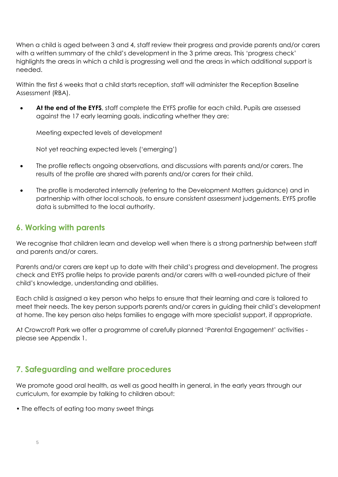When a child is aged between 3 and 4, staff review their progress and provide parents and/or carers with a written summary of the child's development in the 3 prime areas. This 'progress check' highlights the areas in which a child is progressing well and the areas in which additional support is needed.

Within the first 6 weeks that a child starts reception, staff will administer the Reception Baseline Assessment (RBA).

**At the end of the EYFS**, staff complete the EYFS profile for each child. Pupils are assessed against the 17 early learning goals, indicating whether they are:

Meeting expected levels of development

Not yet reaching expected levels ('emerging')

- The profile reflects ongoing observations, and discussions with parents and/or carers. The results of the profile are shared with parents and/or carers for their child.
- The profile is moderated internally (referring to the Development Matters [guidance\)](https://www.gov.uk/government/publications/development-matters--2) and in partnership with other local schools, to ensure consistent assessment judgements. EYFS profile data is submitted to the local authority.

## **6. Working with parents**

We recognise that children learn and develop well when there is a strong partnership between staff and parents and/or carers.

Parents and/or carers are kept up to date with their child's progress and development. The progress check and EYFS profile helps to provide parents and/or carers with a well-rounded picture of their child's knowledge, understanding and abilities.

Each child is assigned a key person who helps to ensure that their learning and care is tailored to meet their needs. The key person supports parents and/or carers in guiding their child's development at home. The key person also helps families to engage with more specialist support, if appropriate.

At Crowcroft Park we offer a programme of carefully planned 'Parental Engagement' activities please see Appendix 1.

# **7. Safeguarding and welfare procedures**

We promote good oral health, as well as good health in general, in the early years through our curriculum, for example by talking to children about:

• The effects of eating too many sweet things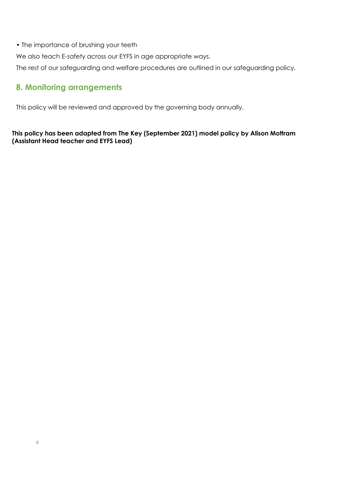• The importance of brushing your teeth

We also teach E-safety across our EYFS in age appropriate ways.

The rest of our safeguarding and welfare procedures are outlined in our safeguarding policy.

# **8. Monitoring arrangements**

This policy will be reviewed and approved by the governing body annually.

#### **This policy has been adapted from The Key (September 2021) model policy by Alison Mottram (Assistant Head teacher and EYFS Lead)**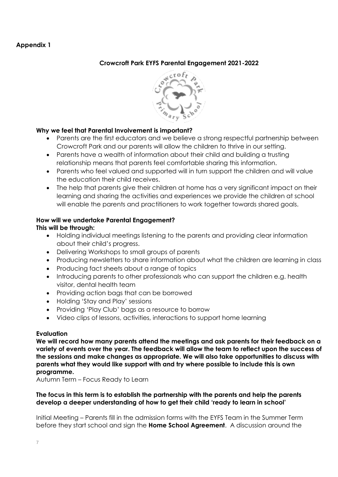#### **Appendix 1**

#### **Crowcroft Park EYFS Parental Engagement 2021-2022**



#### **Why we feel that Parental Involvement is important?**

- Parents are the first educators and we believe a strong respectful partnership between Crowcroft Park and our parents will allow the children to thrive in our setting.
- Parents have a wealth of information about their child and building a trusting relationship means that parents feel comfortable sharing this information.
- Parents who feel valued and supported will in turn support the children and will value the education their child receives.
- The help that parents give their children at home has a very significant impact on their learning and sharing the activities and experiences we provide the children at school will enable the parents and practitioners to work together towards shared goals.

#### **How will we undertake Parental Engagement? This will be through:**

- Holding individual meetings listening to the parents and providing clear information about their child's progress.
- Delivering Workshops to small groups of parents
- Producing newsletters to share information about what the children are learning in class
- Producing fact sheets about a range of topics
- Introducing parents to other professionals who can support the children e.g. health visitor, dental health team
- Providing action bags that can be borrowed
- Holding 'Stay and Play' sessions
- Providing 'Play Club' bags as a resource to borrow
- Video clips of lessons, activities, interactions to support home learning

#### **Evaluation**

**We will record how many parents attend the meetings and ask parents for their feedback on a variety of events over the year. The feedback will allow the team to reflect upon the success of the sessions and make changes as appropriate. We will also take opportunities to discuss with parents what they would like support with and try where possible to include this is own programme.**

Autumn Term – Focus Ready to Learn

#### **The focus in this term is to establish the partnership with the parents and help the parents develop a deeper understanding of how to get their child 'ready to learn in school'**

Initial Meeting – Parents fill in the admission forms with the EYFS Team in the Summer Term before they start school and sign the **Home School Agreement**. A discussion around the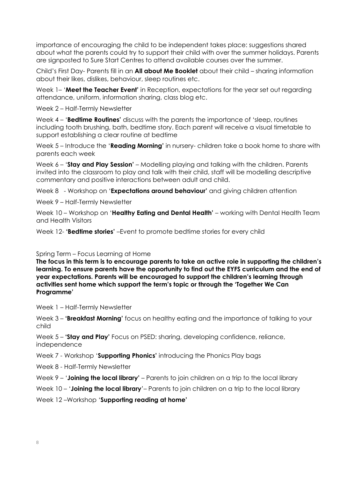importance of encouraging the child to be independent takes place: suggestions shared about what the parents could try to support their child with over the summer holidays. Parents are signposted to Sure Start Centres to attend available courses over the summer.

Child's First Day- Parents fill in an **All about Me Booklet** about their child – sharing information about their likes, dislikes, behaviour, sleep routines etc.

Week 1– '**Meet the Teacher Event'** in Reception, expectations for the year set out regarding attendance, uniform, information sharing, class blog etc.

Week 2 – Half-Termly Newsletter

Week 4 – '**Bedtime Routines'** discuss with the parents the importance of 'sleep, routines including tooth brushing, bath, bedtime story. Each parent will receive a visual timetable to support establishing a clear routine at bedtime

Week 5 – Introduce the '**Reading Morning'** in nursery- children take a book home to share with parents each week

Week 6 – '**Stay and Play Session'** – Modelling playing and talking with the children. Parents invited into the classroom to play and talk with their child, staff will be modelling descriptive commentary and positive interactions between adult and child.

Week 8 - Workshop on '**Expectations around behaviour'** and giving children attention

Week 9 – Half-Termly Newsletter

Week 10 – Workshop on '**Healthy Eating and Dental Health'** – working with Dental Health Team and Health Visitors

Week 12- **'Bedtime stories'** –Event to promote bedtime stories for every child

#### Spring Term – Focus Learning at Home

**The focus in this term is to encourage parents to take an active role in supporting the children's learning. To ensure parents have the opportunity to find out the EYFS curriculum and the end of year expectations. Parents will be encouraged to support the children's learning through activities sent home which support the term's topic or through the 'Together We Can Programme'**

Week 1 – Half-Termly Newsletter

Week 3 – **'Breakfast Morning'** focus on healthy eating and the importance of talking to your child

Week 5 – **'Stay and Play'** Focus on PSED: sharing, developing confidence, reliance, independence

Week 7 - Workshop '**Supporting Phonics'** introducing the Phonics Play bags

Week 8 - Half-Termly Newsletter

Week 9 – '**Joining the local library'** – Parents to join children on a trip to the local library

Week 10 – '**Joining the local library**'– Parents to join children on a trip to the local library

Week 12 –Workshop '**Supporting reading at home'**